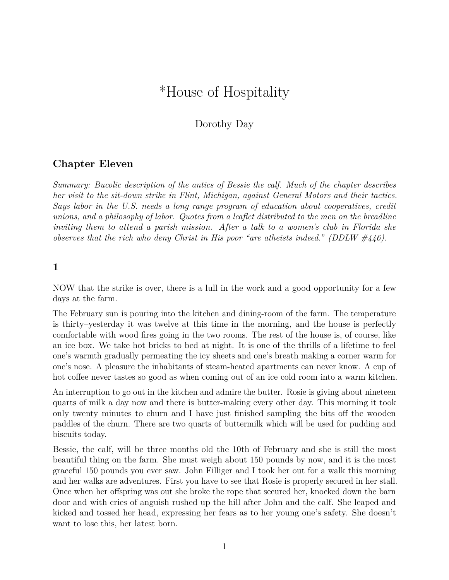# \*House of Hospitality

### Dorothy Day

#### **Chapter Eleven**

*Summary: Bucolic description of the antics of Bessie the calf. Much of the chapter describes her visit to the sit-down strike in Flint, Michigan, against General Motors and their tactics. Says labor in the U.S. needs a long range program of education about cooperatives, credit unions, and a philosophy of labor. Quotes from a leaflet distributed to the men on the breadline inviting them to attend a parish mission. After a talk to a women's club in Florida she observes that the rich who deny Christ in His poor "are atheists indeed." (DDLW #446).*

#### **1**

NOW that the strike is over, there is a lull in the work and a good opportunity for a few days at the farm.

The February sun is pouring into the kitchen and dining-room of the farm. The temperature is thirty–yesterday it was twelve at this time in the morning, and the house is perfectly comfortable with wood fires going in the two rooms. The rest of the house is, of course, like an ice box. We take hot bricks to bed at night. It is one of the thrills of a lifetime to feel one's warmth gradually permeating the icy sheets and one's breath making a corner warm for one's nose. A pleasure the inhabitants of steam-heated apartments can never know. A cup of hot coffee never tastes so good as when coming out of an ice cold room into a warm kitchen.

An interruption to go out in the kitchen and admire the butter. Rosie is giving about nineteen quarts of milk a day now and there is butter-making every other day. This morning it took only twenty minutes to churn and I have just finished sampling the bits off the wooden paddles of the churn. There are two quarts of buttermilk which will be used for pudding and biscuits today.

Bessie, the calf, will be three months old the 10th of February and she is still the most beautiful thing on the farm. She must weigh about 150 pounds by now, and it is the most graceful 150 pounds you ever saw. John Filliger and I took her out for a walk this morning and her walks are adventures. First you have to see that Rosie is properly secured in her stall. Once when her offspring was out she broke the rope that secured her, knocked down the barn door and with cries of anguish rushed up the hill after John and the calf. She leaped and kicked and tossed her head, expressing her fears as to her young one's safety. She doesn't want to lose this, her latest born.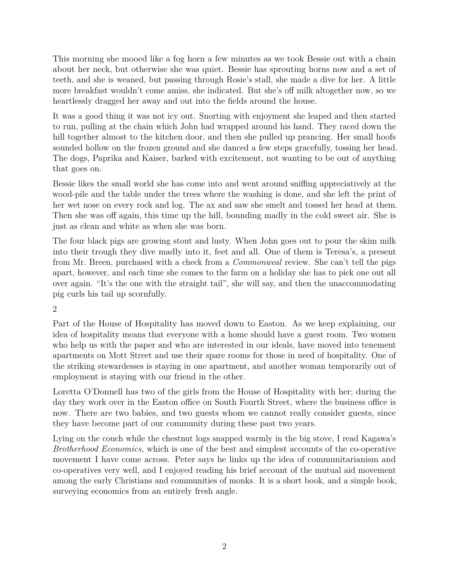This morning she mooed like a fog horn a few minutes as we took Bessie out with a chain about her neck, but otherwise she was quiet. Bessie has sprouting horns now and a set of teeth, and she is weaned, but passing through Rosie's stall, she made a dive for her. A little more breakfast wouldn't come amiss, she indicated. But she's off milk altogether now, so we heartlessly dragged her away and out into the fields around the house.

It was a good thing it was not icy out. Snorting with enjoyment she leaped and then started to run, pulling at the chain which John had wrapped around his hand. They raced down the hill together almost to the kitchen door, and then she pulled up prancing. Her small hoofs sounded hollow on the frozen ground and she danced a few steps gracefully, tossing her head. The dogs, Paprika and Kaiser, barked with excitement, not wanting to be out of anything that goes on.

Bessie likes the small world she has come into and went around sniffing appreciatively at the wood-pile and the table under the trees where the washing is done, and she left the print of her wet nose on every rock and log. The ax and saw she smelt and tossed her head at them. Then she was off again, this time up the hill, bounding madly in the cold sweet air. She is just as clean and white as when she was born.

The four black pigs are growing stout and lusty. When John goes out to pour the skim milk into their trough they dive madly into it, feet and all. One of them is Teresa's, a present from Mr. Breen, purchased with a check from a *Commonweal* review. She can't tell the pigs apart, however, and each time she comes to the farm on a holiday she has to pick one out all over again. "It's the one with the straight tail", she will say, and then the unaccommodating pig curls his tail up scornfully.

2

Part of the House of Hospitality has moved down to Easton. As we keep explaining, our idea of hospitality means that everyone with a home should have a guest room. Two women who help us with the paper and who are interested in our ideals, have moved into tenement apartments on Mott Street and use their spare rooms for those in need of hospitality. One of the striking stewardesses is staying in one apartment, and another woman temporarily out of employment is staying with our friend in the other.

Loretta O'Donnell has two of the girls from the House of Hospitality with her; during the day they work over in the Easton office on South Fourth Street, where the business office is now. There are two babies, and two guests whom we cannot really consider guests, since they have become part of our community during these past two years.

Lying on the couch while the chestnut logs snapped warmly in the big stove, I read Kagawa's *Brotherhood Economics,* which is one of the best and simplest accounts of the co-operative movement I have come across. Peter says he links up the idea of communitarianism and co-operatives very well, and I enjoyed reading his brief account of the mutual aid movement among the early Christians and communities of monks. It is a short book, and a simple book, surveying economics from an entirely fresh angle.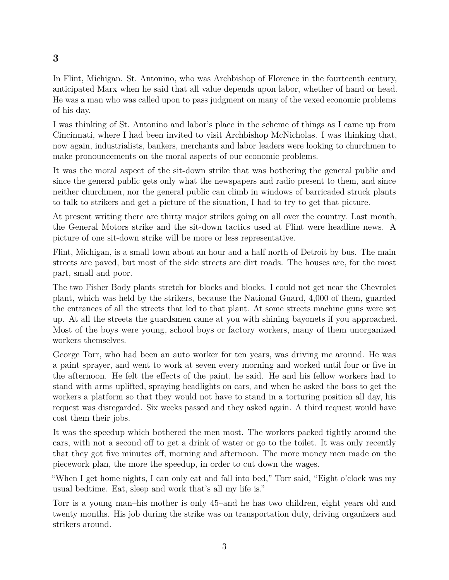## **3**

In Flint, Michigan. St. Antonino, who was Archbishop of Florence in the fourteenth century, anticipated Marx when he said that all value depends upon labor, whether of hand or head. He was a man who was called upon to pass judgment on many of the vexed economic problems of his day.

I was thinking of St. Antonino and labor's place in the scheme of things as I came up from Cincinnati, where I had been invited to visit Archbishop McNicholas. I was thinking that, now again, industrialists, bankers, merchants and labor leaders were looking to churchmen to make pronouncements on the moral aspects of our economic problems.

It was the moral aspect of the sit-down strike that was bothering the general public and since the general public gets only what the newspapers and radio present to them, and since neither churchmen, nor the general public can climb in windows of barricaded struck plants to talk to strikers and get a picture of the situation, I had to try to get that picture.

At present writing there are thirty major strikes going on all over the country. Last month, the General Motors strike and the sit-down tactics used at Flint were headline news. A picture of one sit-down strike will be more or less representative.

Flint, Michigan, is a small town about an hour and a half north of Detroit by bus. The main streets are paved, but most of the side streets are dirt roads. The houses are, for the most part, small and poor.

The two Fisher Body plants stretch for blocks and blocks. I could not get near the Chevrolet plant, which was held by the strikers, because the National Guard, 4,000 of them, guarded the entrances of all the streets that led to that plant. At some streets machine guns were set up. At all the streets the guardsmen came at you with shining bayonets if you approached. Most of the boys were young, school boys or factory workers, many of them unorganized workers themselves.

George Torr, who had been an auto worker for ten years, was driving me around. He was a paint sprayer, and went to work at seven every morning and worked until four or five in the afternoon. He felt the effects of the paint, he said. He and his fellow workers had to stand with arms uplifted, spraying headlights on cars, and when he asked the boss to get the workers a platform so that they would not have to stand in a torturing position all day, his request was disregarded. Six weeks passed and they asked again. A third request would have cost them their jobs.

It was the speedup which bothered the men most. The workers packed tightly around the cars, with not a second off to get a drink of water or go to the toilet. It was only recently that they got five minutes off, morning and afternoon. The more money men made on the piecework plan, the more the speedup, in order to cut down the wages.

"When I get home nights, I can only eat and fall into bed," Torr said, "Eight o'clock was my usual bedtime. Eat, sleep and work that's all my life is."

Torr is a young man–his mother is only 45–and he has two children, eight years old and twenty months. His job during the strike was on transportation duty, driving organizers and strikers around.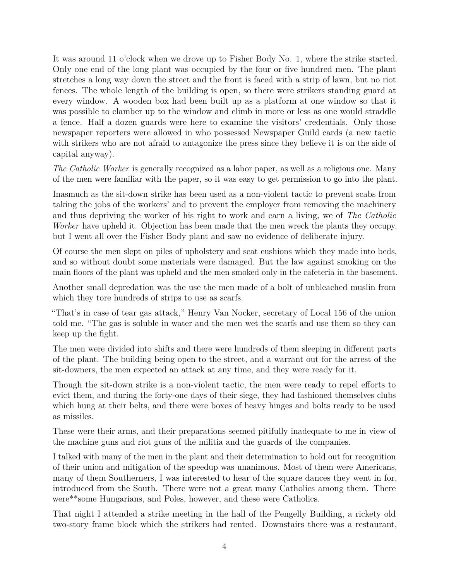It was around 11 o'clock when we drove up to Fisher Body No. 1, where the strike started. Only one end of the long plant was occupied by the four or five hundred men. The plant stretches a long way down the street and the front is faced with a strip of lawn, but no riot fences. The whole length of the building is open, so there were strikers standing guard at every window. A wooden box had been built up as a platform at one window so that it was possible to clamber up to the window and climb in more or less as one would straddle a fence. Half a dozen guards were here to examine the visitors' credentials. Only those newspaper reporters were allowed in who possessed Newspaper Guild cards (a new tactic with strikers who are not afraid to antagonize the press since they believe it is on the side of capital anyway).

*The Catholic Worker* is generally recognized as a labor paper, as well as a religious one. Many of the men were familiar with the paper, so it was easy to get permission to go into the plant.

Inasmuch as the sit-down strike has been used as a non-violent tactic to prevent scabs from taking the jobs of the workers' and to prevent the employer from removing the machinery and thus depriving the worker of his right to work and earn a living, we of *The Catholic Worker* have upheld it. Objection has been made that the men wreck the plants they occupy, but I went all over the Fisher Body plant and saw no evidence of deliberate injury.

Of course the men slept on piles of upholstery and seat cushions which they made into beds, and so without doubt some materials were damaged. But the law against smoking on the main floors of the plant was upheld and the men smoked only in the cafeteria in the basement.

Another small depredation was the use the men made of a bolt of unbleached muslin from which they tore hundreds of strips to use as scarfs.

"That's in case of tear gas attack," Henry Van Nocker, secretary of Local 156 of the union told me. "The gas is soluble in water and the men wet the scarfs and use them so they can keep up the fight.

The men were divided into shifts and there were hundreds of them sleeping in different parts of the plant. The building being open to the street, and a warrant out for the arrest of the sit-downers, the men expected an attack at any time, and they were ready for it.

Though the sit-down strike is a non-violent tactic, the men were ready to repel efforts to evict them, and during the forty-one days of their siege, they had fashioned themselves clubs which hung at their belts, and there were boxes of heavy hinges and bolts ready to be used as missiles.

These were their arms, and their preparations seemed pitifully inadequate to me in view of the machine guns and riot guns of the militia and the guards of the companies.

I talked with many of the men in the plant and their determination to hold out for recognition of their union and mitigation of the speedup was unanimous. Most of them were Americans, many of them Southerners, I was interested to hear of the square dances they went in for, introduced from the South. There were not a great many Catholics among them. There were\*\*some Hungarians, and Poles, however, and these were Catholics.

That night I attended a strike meeting in the hall of the Pengelly Building, a rickety old two-story frame block which the strikers had rented. Downstairs there was a restaurant,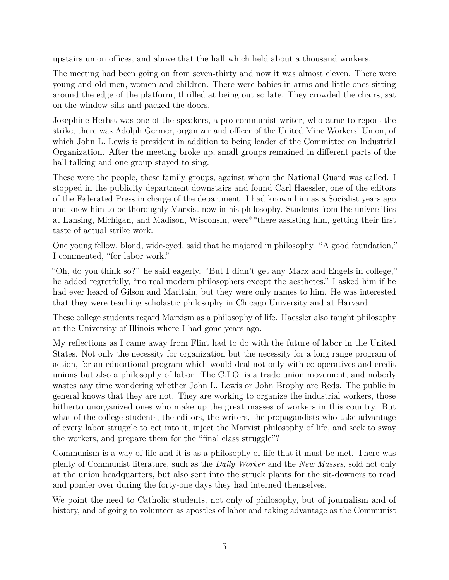upstairs union offices, and above that the hall which held about a thousand workers.

The meeting had been going on from seven-thirty and now it was almost eleven. There were young and old men, women and children. There were babies in arms and little ones sitting around the edge of the platform, thrilled at being out so late. They crowded the chairs, sat on the window sills and packed the doors.

Josephine Herbst was one of the speakers, a pro-communist writer, who came to report the strike; there was Adolph Germer, organizer and officer of the United Mine Workers' Union, of which John L. Lewis is president in addition to being leader of the Committee on Industrial Organization. After the meeting broke up, small groups remained in different parts of the hall talking and one group stayed to sing.

These were the people, these family groups, against whom the National Guard was called. I stopped in the publicity department downstairs and found Carl Haessler, one of the editors of the Federated Press in charge of the department. I had known him as a Socialist years ago and knew him to be thoroughly Marxist now in his philosophy. Students from the universities at Lansing, Michigan, and Madison, Wisconsin, were\*\*there assisting him, getting their first taste of actual strike work.

One young fellow, blond, wide-eyed, said that he majored in philosophy. "A good foundation," I commented, "for labor work."

"Oh, do you think so?" he said eagerly. "But I didn't get any Marx and Engels in college," he added regretfully, "no real modern philosophers except the aesthetes." I asked him if he had ever heard of Gilson and Maritain, but they were only names to him. He was interested that they were teaching scholastic philosophy in Chicago University and at Harvard.

These college students regard Marxism as a philosophy of life. Haessler also taught philosophy at the University of Illinois where I had gone years ago.

My reflections as I came away from Flint had to do with the future of labor in the United States. Not only the necessity for organization but the necessity for a long range program of action, for an educational program which would deal not only with co-operatives and credit unions but also a philosophy of labor. The C.I.O. is a trade union movement, and nobody wastes any time wondering whether John L. Lewis or John Brophy are Reds. The public in general knows that they are not. They are working to organize the industrial workers, those hitherto unorganized ones who make up the great masses of workers in this country. But what of the college students, the editors, the writers, the propagandists who take advantage of every labor struggle to get into it, inject the Marxist philosophy of life, and seek to sway the workers, and prepare them for the "final class struggle"?

Communism is a way of life and it is as a philosophy of life that it must be met. There was plenty of Communist literature, such as the *Daily Worker* and the *New Masses,* sold not only at the union headquarters, but also sent into the struck plants for the sit-downers to read and ponder over during the forty-one days they had interned themselves.

We point the need to Catholic students, not only of philosophy, but of journalism and of history, and of going to volunteer as apostles of labor and taking advantage as the Communist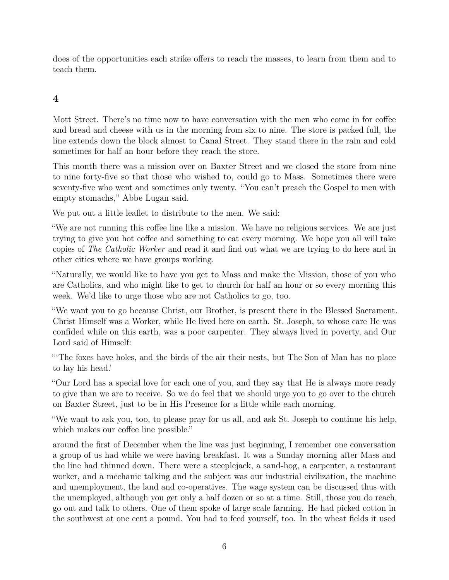does of the opportunities each strike offers to reach the masses, to learn from them and to teach them.

# **4**

Mott Street. There's no time now to have conversation with the men who come in for coffee and bread and cheese with us in the morning from six to nine. The store is packed full, the line extends down the block almost to Canal Street. They stand there in the rain and cold sometimes for half an hour before they reach the store.

This month there was a mission over on Baxter Street and we closed the store from nine to nine forty-five so that those who wished to, could go to Mass. Sometimes there were seventy-five who went and sometimes only twenty. "You can't preach the Gospel to men with empty stomachs," Abbe Lugan said.

We put out a little leaflet to distribute to the men. We said:

"We are not running this coffee line like a mission. We have no religious services. We are just trying to give you hot coffee and something to eat every morning. We hope you all will take copies of *The Catholic Worker* and read it and find out what we are trying to do here and in other cities where we have groups working.

"Naturally, we would like to have you get to Mass and make the Mission, those of you who are Catholics, and who might like to get to church for half an hour or so every morning this week. We'd like to urge those who are not Catholics to go, too.

"We want you to go because Christ, our Brother, is present there in the Blessed Sacrament. Christ Himself was a Worker, while He lived here on earth. St. Joseph, to whose care He was confided while on this earth, was a poor carpenter. They always lived in poverty, and Our Lord said of Himself:

"'The foxes have holes, and the birds of the air their nests, but The Son of Man has no place to lay his head.'

"Our Lord has a special love for each one of you, and they say that He is always more ready to give than we are to receive. So we do feel that we should urge you to go over to the church on Baxter Street, just to be in His Presence for a little while each morning.

"We want to ask you, too, to please pray for us all, and ask St. Joseph to continue his help, which makes our coffee line possible."

around the first of December when the line was just beginning, I remember one conversation a group of us had while we were having breakfast. It was a Sunday morning after Mass and the line had thinned down. There were a steeplejack, a sand-hog, a carpenter, a restaurant worker, and a mechanic talking and the subject was our industrial civilization, the machine and unemployment, the land and co-operatives. The wage system can be discussed thus with the unemployed, although you get only a half dozen or so at a time. Still, those you do reach, go out and talk to others. One of them spoke of large scale farming. He had picked cotton in the southwest at one cent a pound. You had to feed yourself, too. In the wheat fields it used